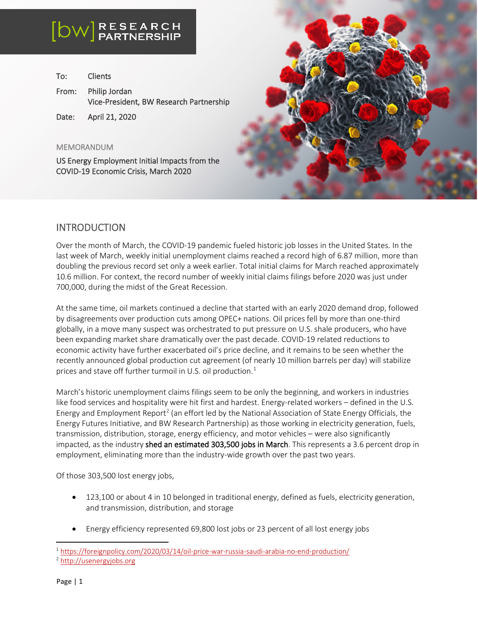| To: | <b>Clients</b>                                                 |
|-----|----------------------------------------------------------------|
|     | From: Philip Jordan<br>Vice-President, BW Research Partnership |
|     |                                                                |

Date: April 21, 2020

#### MEMORANDUM

 $\overline{a}$ 

I

US Energy Employment Initial Impacts from the COVID-19 Economic Crisis, March 2020



#### INTRODUCTION

Over the month of March, the COVID-19 pandemic fueled historic job losses in the United States. In the last week of March, weekly initial unemployment claims reached a record high of 6.87 million, more than doubling the previous record set only a week earlier. Total initial claims for March reached approximately 10.6 million. For context, the record number of weekly initial claims filings before 2020 was just under 700,000, during the midst of the Great Recession.

At the same time, oil markets continued a decline that started with an early 2020 demand drop, followed by disagreements over production cuts among OPEC+ nations. Oil prices fell by more than one-third globally, in a move many suspect was orchestrated to put pressure on U.S. shale producers, who have been expanding market share dramatically over the past decade. COVID-19 related reductions to economic activity have further exacerbated oil's price decline, and it remains to be seen whether the recently announced global production cut agreement (of nearly 10 million barrels per day) will stabilize prices and stave off further turmoil in U.S. oil production. $1$ 

March's historic unemployment claims filings seem to be only the beginning, and workers in industries like food services and hospitality were hit first and hardest. Energy-related workers – defined in the U.S. Energy and Employment Report<sup>[2](#page-0-1)</sup> (an effort led by the National Association of State Energy Officials, the Energy Futures Initiative, and BW Research Partnership) as those working in electricity generation, fuels, transmission, distribution, storage, energy efficiency, and motor vehicles – were also significantly impacted, as the industry shed an estimated 303,500 jobs in March. This represents a 3.6 percent drop in employment, eliminating more than the industry-wide growth over the past two years.

Of those 303,500 lost energy jobs,

- 123,100 or about 4 in 10 belonged in traditional energy, defined as fuels, electricity generation, and transmission, distribution, and storage
- Energy efficiency represented 69,800 lost jobs or 23 percent of all lost energy jobs

<span id="page-0-0"></span><sup>1</sup> <https://foreignpolicy.com/2020/03/14/oil-price-war-russia-saudi-arabia-no-end-production/>

<span id="page-0-1"></span><sup>2</sup> [http://usenergyjobs.org](http://usenergyjobs.org/)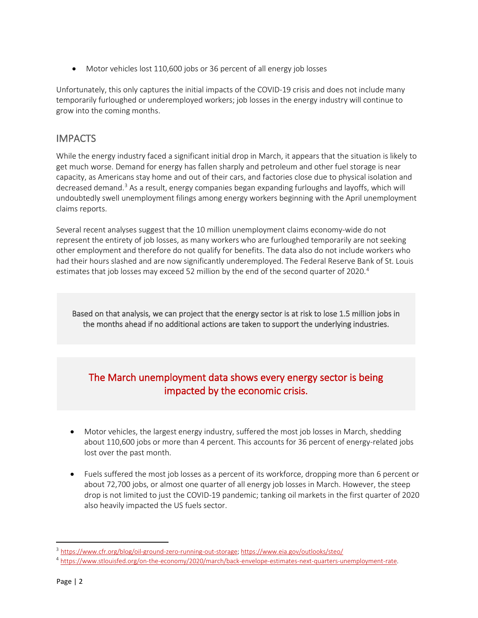• Motor vehicles lost 110,600 jobs or 36 percent of all energy job losses

Unfortunately, this only captures the initial impacts of the COVID-19 crisis and does not include many temporarily furloughed or underemployed workers; job losses in the energy industry will continue to grow into the coming months.

### **IMPACTS**

While the energy industry faced a significant initial drop in March, it appears that the situation is likely to get much worse. Demand for energy has fallen sharply and petroleum and other fuel storage is near capacity, as Americans stay home and out of their cars, and factories close due to physical isolation and decreased demand.<sup>[3](#page-1-0)</sup> As a result, energy companies began expanding furloughs and layoffs, which will undoubtedly swell unemployment filings among energy workers beginning with the April unemployment claims reports.

Several recent analyses suggest that the 10 million unemployment claims economy-wide do not represent the entirety of job losses, as many workers who are furloughed temporarily are not seeking other employment and therefore do not qualify for benefits. The data also do not include workers who had their hours slashed and are now significantly underemployed. The Federal Reserve Bank of St. Louis estimates that job losses may exceed 52 million by the end of the second quarter of 2020.<sup>[4](#page-1-1)</sup>

Based on that analysis, we can project that the energy sector is at risk to lose 1.5 million jobs in the months ahead if no additional actions are taken to support the underlying industries.

# The March unemployment data shows every energy sector is being impacted by the economic crisis.

- Motor vehicles, the largest energy industry, suffered the most job losses in March, shedding about 110,600 jobs or more than 4 percent. This accounts for 36 percent of energy-related jobs lost over the past month.
- Fuels suffered the most job losses as a percent of its workforce, dropping more than 6 percent or about 72,700 jobs, or almost one quarter of all energy job losses in March. However, the steep drop is not limited to just the COVID-19 pandemic; tanking oil markets in the first quarter of 2020 also heavily impacted the US fuels sector.

<span id="page-1-0"></span><sup>&</sup>lt;sup>3</sup> [https://www.cfr.org/blog/oil-ground-zero-running-out-storage;](https://www.cfr.org/blog/oil-ground-zero-running-out-storage)<https://www.eia.gov/outlooks/steo/>

<span id="page-1-1"></span><sup>4</sup> [https://www.stlouisfed.org/on-the-economy/2020/march/back-envelope-estimates-next-quarters-unemployment-rate.](https://www.stlouisfed.org/on-the-economy/2020/march/back-envelope-estimates-next-quarters-unemployment-rate)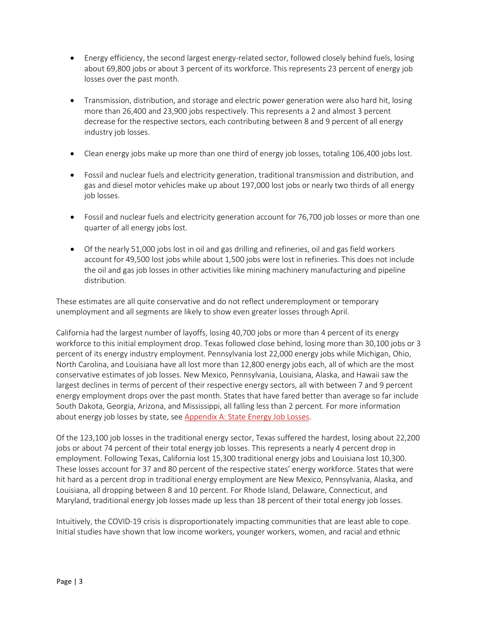- Energy efficiency, the second largest energy-related sector, followed closely behind fuels, losing about 69,800 jobs or about 3 percent of its workforce. This represents 23 percent of energy job losses over the past month.
- Transmission, distribution, and storage and electric power generation were also hard hit, losing more than 26,400 and 23,900 jobs respectively. This represents a 2 and almost 3 percent decrease for the respective sectors, each contributing between 8 and 9 percent of all energy industry job losses.
- Clean energy jobs make up more than one third of energy job losses, totaling 106,400 jobs lost.
- Fossil and nuclear fuels and electricity generation, traditional transmission and distribution, and gas and diesel motor vehicles make up about 197,000 lost jobs or nearly two thirds of all energy job losses.
- Fossil and nuclear fuels and electricity generation account for 76,700 job losses or more than one quarter of all energy jobs lost.
- Of the nearly 51,000 jobs lost in oil and gas drilling and refineries, oil and gas field workers account for 49,500 lost jobs while about 1,500 jobs were lost in refineries. This does not include the oil and gas job losses in other activities like mining machinery manufacturing and pipeline distribution.

These estimates are all quite conservative and do not reflect underemployment or temporary unemployment and all segments are likely to show even greater losses through April.

California had the largest number of layoffs, losing 40,700 jobs or more than 4 percent of its energy workforce to this initial employment drop. Texas followed close behind, losing more than 30,100 jobs or 3 percent of its energy industry employment. Pennsylvania lost 22,000 energy jobs while Michigan, Ohio, North Carolina, and Louisiana have all lost more than 12,800 energy jobs each, all of which are the most conservative estimates of job losses. New Mexico, Pennsylvania, Louisiana, Alaska, and Hawaii saw the largest declines in terms of percent of their respective energy sectors, all with between 7 and 9 percent energy employment drops over the past month. States that have fared better than average so far include South Dakota, Georgia, Arizona, and Mississippi, all falling less than 2 percent. For more information about energy job losses by state, se[e Appendix A: State Energy Job Losses.](#page-5-0)

Of the 123,100 job losses in the traditional energy sector, Texas suffered the hardest, losing about 22,200 jobs or about 74 percent of their total energy job losses. This represents a nearly 4 percent drop in employment. Following Texas, California lost 15,300 traditional energy jobs and Louisiana lost 10,300. These losses account for 37 and 80 percent of the respective states' energy workforce. States that were hit hard as a percent drop in traditional energy employment are New Mexico, Pennsylvania, Alaska, and Louisiana, all dropping between 8 and 10 percent. For Rhode Island, Delaware, Connecticut, and Maryland, traditional energy job losses made up less than 18 percent of their total energy job losses.

Intuitively, the COVID-19 crisis is disproportionately impacting communities that are least able to cope. Initial studies have shown that low income workers, younger workers, women, and racial and ethnic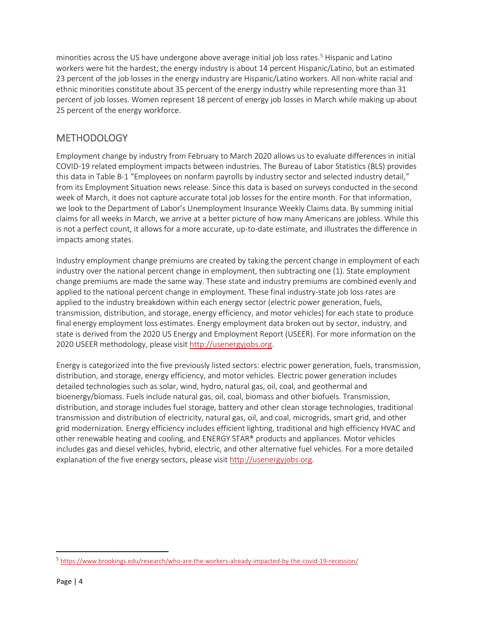minorities across the US have undergone above average initial job loss rates. [5](#page-3-0) Hispanic and Latino workers were hit the hardest; the energy industry is about 14 percent Hispanic/Latino, but an estimated 23 percent of the job losses in the energy industry are Hispanic/Latino workers. All non-white racial and ethnic minorities constitute about 35 percent of the energy industry while representing more than 31 percent of job losses. Women represent 18 percent of energy job losses in March while making up about 25 percent of the energy workforce.

#### **METHODOLOGY**

Employment change by industry from February to March 2020 allows us to evaluate differences in initial COVID-19 related employment impacts between industries. The Bureau of Labor Statistics (BLS) provides this data in Table B-1 "Employees on nonfarm payrolls by industry sector and selected industry detail," from its Employment Situation news release. Since this data is based on surveys conducted in the second week of March, it does not capture accurate total job losses for the entire month. For that information, we look to the Department of Labor's Unemployment Insurance Weekly Claims data. By summing initial claims for all weeks in March, we arrive at a better picture of how many Americans are jobless. While this is not a perfect count, it allows for a more accurate, up-to-date estimate, and illustrates the difference in impacts among states.

Industry employment change premiums are created by taking the percent change in employment of each industry over the national percent change in employment, then subtracting one (1). State employment change premiums are made the same way. These state and industry premiums are combined evenly and applied to the national percent change in employment. These final industry-state job loss rates are applied to the industry breakdown within each energy sector (electric power generation, fuels, transmission, distribution, and storage, energy efficiency, and motor vehicles) for each state to produce final energy employment loss estimates. Energy employment data broken out by sector, industry, and state is derived from the 2020 US Energy and Employment Report (USEER). For more information on the 2020 USEER methodology, please visit [http://usenergyjobs.org.](http://usenergyjobs.org/)

Energy is categorized into the five previously listed sectors: electric power generation, fuels, transmission, distribution, and storage, energy efficiency, and motor vehicles. Electric power generation includes detailed technologies such as solar, wind, hydro, natural gas, oil, coal, and geothermal and bioenergy/biomass. Fuels include natural gas, oil, coal, biomass and other biofuels. Transmission, distribution, and storage includes fuel storage, battery and other clean storage technologies, traditional transmission and distribution of electricity, natural gas, oil, and coal, microgrids, smart grid, and other grid modernization. Energy efficiency includes efficient lighting, traditional and high efficiency HVAC and other renewable heating and cooling, and ENERGY STAR® products and appliances. Motor vehicles includes gas and diesel vehicles, hybrid, electric, and other alternative fuel vehicles. For a more detailed explanation of the five energy sectors, please visit [http://usenergyjobs.org.](http://usenergyjobs.org/)

<span id="page-3-0"></span><sup>5</sup> <https://www.brookings.edu/research/who-are-the-workers-already-impacted-by-the-covid-19-recession/>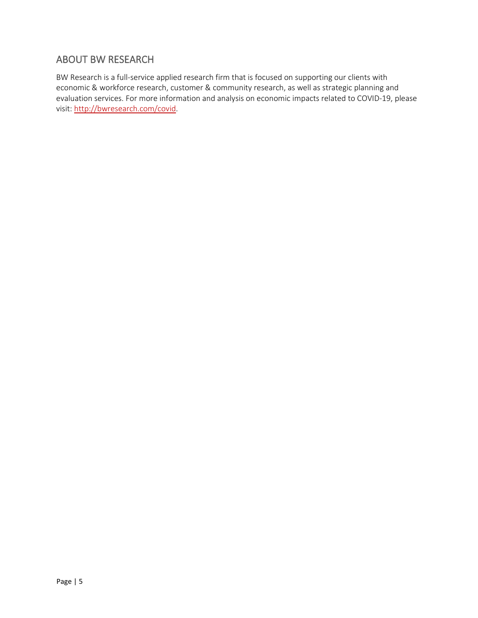## ABOUT BW RESEARCH

BW Research is a full-service applied research firm that is focused on supporting our clients with economic & workforce research, customer & community research, as well as strategic planning and evaluation services. For more information and analysis on economic impacts related to COVID-19, please visit: [http://bwresearch.com/covid.](http://bwresearch.com/covid)